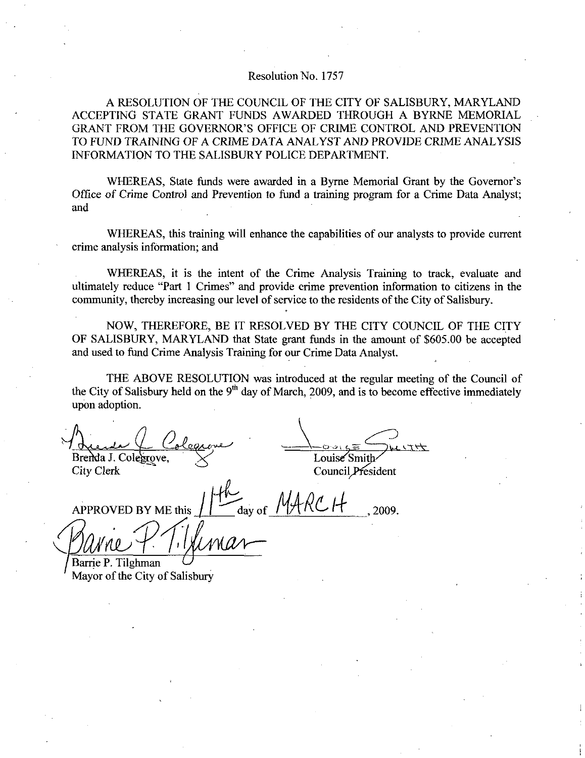## Resolution No. 1757

A RESOLUTION OF THE COUNCIL OF THE CITY OF SALISBURY MARYLAND ACCEPTING STATE GRANT FUNDS AWARDED THROUGH A BYRNE MEMORIAL Resolution No. 1757<br>A RESOLUTION OF THE COUNCIL OF THE CITY OF SALISBURY, MARYLAND<br>ACCEPTING STATE GRANT FUNDS AWARDED THROUGH A BYRNE MEMORIAL<br>GRANT FROM THE GOVERNOR'S OFFICE OF CRIME CONTROL AND PREVENTION<br>TO FUND TRAIN TO FUND TRAINING OF A CRIME DATA ANALYST AND PROVIDE CRIME ANALYSIS INFORMATION TO THE SALISBURY POLICE DEPARTMENT ACCEPTING STATE GRANT FUNDS AWARDED THROUGH A BYRNE MEMORIAL GRANT FROM THE GOVERNOR'S OFFICE OF CRIME CONTROL AND PREVENTION TO FUND TRAINING OF A CRIME DATA ANALYST AND PROVIDE CRIME ANALYSIS INFORMATION TO THE SALISBURY

and

WHEREAS, this training will enhance the capabilities of our analysts to provide current crime analysis information; and

WHEREAS, it is the intent of the Crime Analysis Training to track, evaluate and ultimately reduce "Part 1 Crimes" and provide crime prevention information to citizens in the community, thereby increasing our level of service to the residents of the City of Salisbury.

NOW, THEREFORE, BE IT RESOLVED BY THE CITY COUNCIL OF THE CITY OF SALISBURY, MARYLAND that State grant funds in the amount of \$605.00 be accepted and used to fund Crime Analysis Training for our Crime Data Analyst

THE ABOVE RESOLUTION was introduced at the regular meeting of the Council of the City of Salisbury held on the  $9<sup>th</sup>$  day of March, 2009, and is to become effective immediately upon adoption

 $\frac{L}{C}$ Brenda J. Colegrove,

City Clerk

Louise Smith

Council President

APPROVED BY ME this  $\left| \int \right|$  day of  $\left| \int \right|$ renda J. Colegrove,<br>ty Clerk<br>PPROVED BY ME this<br>avor of the City of Salis<br>ayor of the City of Salis  $U  
Louisé Smith  
Countil President  
 $MARCH$ , 2009.$ </u>

Barrie P. Tilghman Mayor of the City of Salisbury